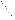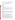# **Technical Factsheet on: 1,1-DICHLOROETHYLENE**

[List of Contaminants](http://www.epa.gov/safewater/hfacts.html) 

 As part of the Drinking Water and Health pages, this fact sheet is part of a larger publication: **National Primary Drinking Water Regulations** 

## **Drinking Water Standards**

 HAL(child): 1 day: 2 mg/L; Longer-term: 1 mg/L MCLG: 0.007 mg/L MCL: 0.007 mg/L

# **Health Effects Summary**

Acute: EPA has found 1,1-dichloroethylene to potentially cause adverse liver effects due to acute exposures at levels above the MCL.

Drinking water levels which are considered "safe" for short-term exposures: For a 10-kg (22 lb.) child consuming 1 liter of water per day: a one-day exposure of 2 mg/L; upto a 7-year exposure to 1 mg/L.

 liver and kidney damage, as well as toxicity to the developing fetus. Chronic: Chronic exposure to 1,1-dichloroethylene at levels above the MCL has the potential to cause

 levels above the MCL. Cancer: There is some evidence that 1,1-dichloroethylene may have the potential to cause cancer at

## **Usage Patterns**

An estimated 90,700 tons/yr of the monomer were produced in the USA during the early 1980s. Virtually all of the 1,1-dichloroethylene produced is used in the production of copolymers with vinyl chloride or acrylonitrile. A small percentage (4%) of 1,1-dichloroethylene is used as chemical intermediates. These products are then used in adhesives, synthetic fibers, refrigerants, food packaging and coating resins such as the saran types.

## **Release Patterns**

1,1-Dichloroethylene may be released into the environment as emissions or in wastewater during its production and use in the manufacture of plastic wrap, adhesives, and synthetic fiber.

1,1-Dichloroethylene is formed by a minor pathway during the anaerobic biodegradation of trichloroethylene and also by the hydrolysis of 1,1,1-trichloroethane. Therefore there is a potential for it to form in groundwater that has been contaminated by chlorinated solvents.

 1,1-Dichloroethylene is also produced by the thermal decomposition of 1,1,1-trichloroethane, a reaction there is a potential for 1,1-dichloroethylene to be formed in these shops as well as in other industrial environments where 1,1,1-trichloroethane is used near sources of heat. that is catalyzed by copper. 1,1,1-Trichloroethane is used as a degreasing agent in welding shops so

environments where 1,1,1-trichloroethane is used near sources of heat.<br>From 1987 to 1993, according to the Toxics Release Inventory, releases to water totalled over 10,000 lbs. Releases to land totalled about 1,500 lbs. These releases were primarily from facilities classified as producing alkalies/chlorine and plastics materials/resins. The largest releases occurred in Kentucky.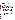## **Environmental Fate**

 Releases to water will primarily be lost to the atmosphere through evaporation. The mass transfer measured to be 0.62. Using data for the oxygen re-aeration rate of typical bodies of water, one can and lake, respectively. In water, the photooxidation of 1,1-dichloroethylene is insignificant. A hydrolysis and 8.5. This value differs markedly from the estimated hydrolytic half-life of 2 yr at pH 7. coefficient between water and the atmosphere of 1,1-dichloroethylene relative to oxygen has been calculate the half-life for evaporation of 1,1-dichloroethylene to be 5.9, 1.2 and 4.7 days from a pond, river half-life of 6-9 months has been observed with no significant difference in hydrolysis rate between pH 4.5

 If spilled on land, part of the 1,1-dichloroethylene will evaporate and part will leach into the groundwater from a regression equation based on its octanol/water partition coefficient (log Kow= 1.48). where its fate is unknown, but degradation is expected to be slow based upon microcosm studies. No experimental data is available on the adsorption of 1,1-dichloroethylene. A low Koc of 150 are calculated

clean air or under 2 hours in polluted air. Once in the atmosphere it will degrade rapidly by photooxidation with a half-life of 11 hours in relatively

 lost in 7 days when incubated with a wastewater inoculum; however, a sizeable fraction of the loss was due to volatilization. 97% of 1,1-dichloroethylene was reported to be removed in a municipal wastewater Few studies on the biodegradation of vinylidene could be found In one study, 45-78% of the chemical was plant but again the fraction lost by evaporation is unknown.

Under anaerobic conditions in microcosms designed to simulate the anaerobic conditions in groundwater and landfills, 1,1-dichloroethylene undergoes reductive dechlorination to vinyl chloride. In the microcosms designed to simulate a groundwater environment, 50% of the 1,1-dichloroethylene disappeared in 5-6 mo.

Under the simulated landfill conditions, degradation occurred in 1-3 weeks. In another anaerobic biodegradation study that used materials from an aquifer that receive municipal landfill leachate and is known to support methanogenesis, the 1,1-dichloroethylene disappeared in 40 weeks. However, no significant degradation occurred for 16 weeks. 1,1-Dichloroethylene was formed as a degradation product.

 invertebrates. Based on its low octanol/water partition coefficient (log Kow= 1.48) one would not expect No experimental data could be found on the bioconcentration of 1,1-dichloroethylene in fish or aquatic any significant bioconcentration.

The general population may be exposed to low levels of 1,1-dichloroethylene in ambient air, indoor air, contaminated drinking water, and food which has come in contact with plastic wrap which contains residual monomer.

#### **Chemical/Physical Properties**

CAS Number: 75-35-4

Color/ Form/Odor: Colorless liquid with a mild, sweet, chloroform-like odor<br>M.P.: -122.5 C B.P.: 31.7 C<br>Vapor Pressure: 591 mm Hg at 25 C; highly volatile

M.P.: -122.5 C B.P.: 31.7 C

Vapor Pressure: 591 mm Hg at 25 C; highly volatile

Octanol/Water Partition (Kow): Estimated log Kow= 1.32